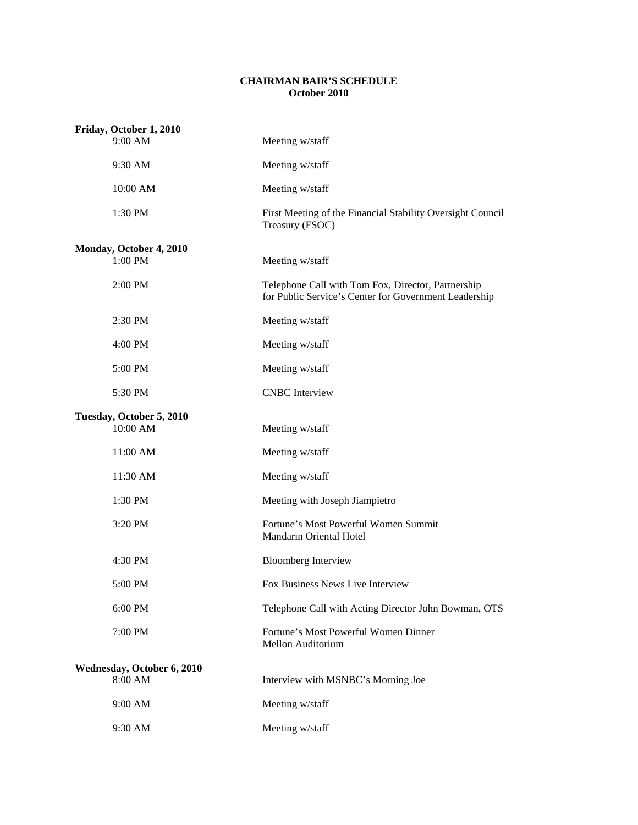## **CHAIRMAN BAIR'S SCHEDULE October 2010**

| Friday, October 1, 2010              |                                                                                                             |  |
|--------------------------------------|-------------------------------------------------------------------------------------------------------------|--|
| 9:00 AM                              | Meeting w/staff                                                                                             |  |
| 9:30 AM                              | Meeting w/staff                                                                                             |  |
| 10:00 AM                             | Meeting w/staff                                                                                             |  |
| 1:30 PM                              | First Meeting of the Financial Stability Oversight Council<br>Treasury (FSOC)                               |  |
| Monday, October 4, 2010              |                                                                                                             |  |
| 1:00 PM                              | Meeting w/staff                                                                                             |  |
| 2:00 PM                              | Telephone Call with Tom Fox, Director, Partnership<br>for Public Service's Center for Government Leadership |  |
| 2:30 PM                              | Meeting w/staff                                                                                             |  |
| 4:00 PM                              | Meeting w/staff                                                                                             |  |
| 5:00 PM                              | Meeting w/staff                                                                                             |  |
| 5:30 PM                              | <b>CNBC</b> Interview                                                                                       |  |
| Tuesday, October 5, 2010<br>10:00 AM | Meeting w/staff                                                                                             |  |
| 11:00 AM                             | Meeting w/staff                                                                                             |  |
| 11:30 AM                             | Meeting w/staff                                                                                             |  |
| 1:30 PM                              | Meeting with Joseph Jiampietro                                                                              |  |
| 3:20 PM                              | Fortune's Most Powerful Women Summit<br>Mandarin Oriental Hotel                                             |  |
| 4:30 PM                              | <b>Bloomberg Interview</b>                                                                                  |  |
| 5:00 PM                              | Fox Business News Live Interview                                                                            |  |
| 6:00 PM                              | Telephone Call with Acting Director John Bowman, OTS                                                        |  |
| 7:00 PM                              | Fortune's Most Powerful Women Dinner<br>Mellon Auditorium                                                   |  |
| Wednesday, October 6, 2010           |                                                                                                             |  |
| 8:00 AM                              | Interview with MSNBC's Morning Joe                                                                          |  |
| 9:00 AM                              | Meeting w/staff                                                                                             |  |
| 9:30 AM                              | Meeting w/staff                                                                                             |  |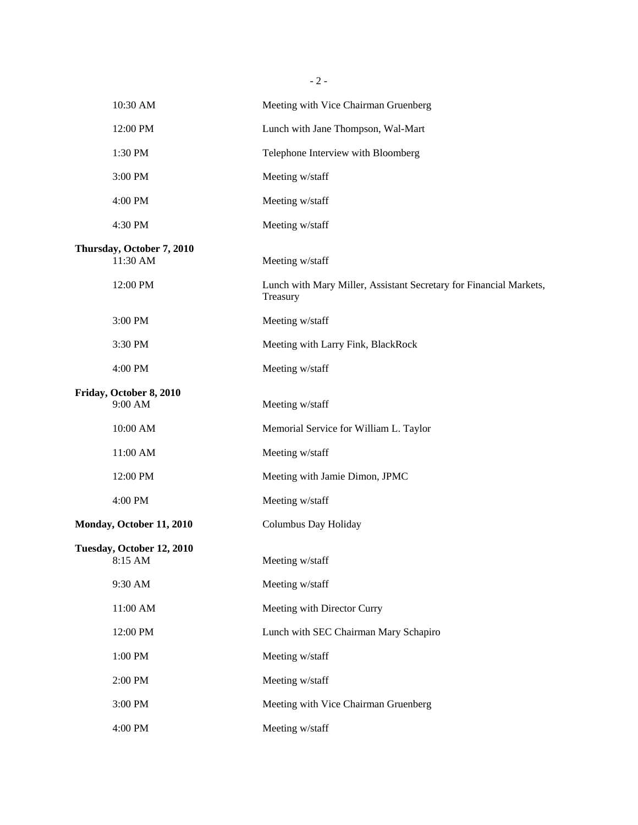| $-2-$                                 |                                                                                |  |
|---------------------------------------|--------------------------------------------------------------------------------|--|
| 10:30 AM                              | Meeting with Vice Chairman Gruenberg                                           |  |
| 12:00 PM                              | Lunch with Jane Thompson, Wal-Mart                                             |  |
| 1:30 PM                               | Telephone Interview with Bloomberg                                             |  |
| 3:00 PM                               | Meeting w/staff                                                                |  |
| 4:00 PM                               | Meeting w/staff                                                                |  |
| 4:30 PM                               | Meeting w/staff                                                                |  |
| Thursday, October 7, 2010<br>11:30 AM | Meeting w/staff                                                                |  |
| 12:00 PM                              | Lunch with Mary Miller, Assistant Secretary for Financial Markets,<br>Treasury |  |
| 3:00 PM                               | Meeting w/staff                                                                |  |
| 3:30 PM                               | Meeting with Larry Fink, BlackRock                                             |  |
| 4:00 PM                               | Meeting w/staff                                                                |  |
| Friday, October 8, 2010<br>9:00 AM    | Meeting w/staff                                                                |  |
| 10:00 AM                              | Memorial Service for William L. Taylor                                         |  |
| 11:00 AM                              | Meeting w/staff                                                                |  |
| 12:00 PM                              | Meeting with Jamie Dimon, JPMC                                                 |  |
| 4:00 PM                               | Meeting w/staff                                                                |  |
| Monday, October 11, 2010              | Columbus Day Holiday                                                           |  |
| Tuesday, October 12, 2010<br>8:15 AM  | Meeting w/staff                                                                |  |
| 9:30 AM                               | Meeting w/staff                                                                |  |
| 11:00 AM                              | Meeting with Director Curry                                                    |  |
| 12:00 PM                              | Lunch with SEC Chairman Mary Schapiro                                          |  |
| 1:00 PM                               | Meeting w/staff                                                                |  |
| 2:00 PM                               | Meeting w/staff                                                                |  |
| 3:00 PM                               | Meeting with Vice Chairman Gruenberg                                           |  |
| 4:00 PM                               | Meeting w/staff                                                                |  |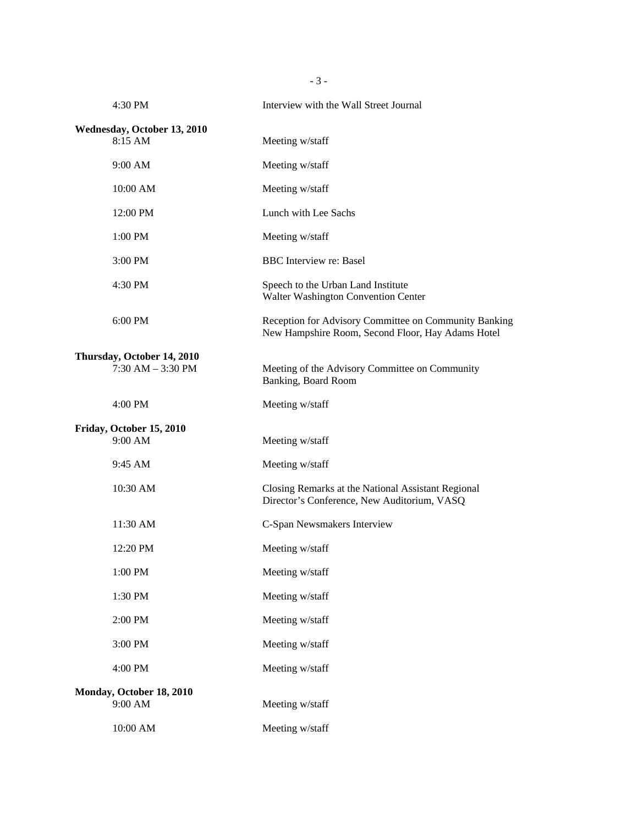4:30 PM Interview with the Wall Street Journal **Wednesday, October 13, 2010**  8:15 AM Meeting w/staff 9:00 AM Meeting w/staff 10:00 AM Meeting w/staff 12:00 PM Lunch with Lee Sachs 1:00 PM Meeting w/staff 3:00 PM BBC Interview re: Basel 4:30 PM Speech to the Urban Land Institute Walter Washington Convention Center 6:00 PM Reception for Advisory Committee on Community Banking New Hampshire Room, Second Floor, Hay Adams Hotel **Thursday, October 14, 2010**  7:30 AM – 3:30 PM Meeting of the Advisory Committee on Community Banking, Board Room 4:00 PM Meeting w/staff **Friday, October 15, 2010**  9:00 AM Meeting w/staff 9:45 AM Meeting w/staff 10:30 AM Closing Remarks at the National Assistant Regional Director's Conference, New Auditorium, VASQ 11:30 AM C-Span Newsmakers Interview 12:20 PM Meeting w/staff 1:00 PM Meeting w/staff 1:30 PM Meeting w/staff 2:00 PM Meeting w/staff 3:00 PM Meeting w/staff 4:00 PM Meeting w/staff **Monday, October 18, 2010**  9:00 AM Meeting w/staff 10:00 AM Meeting w/staff

- 3 -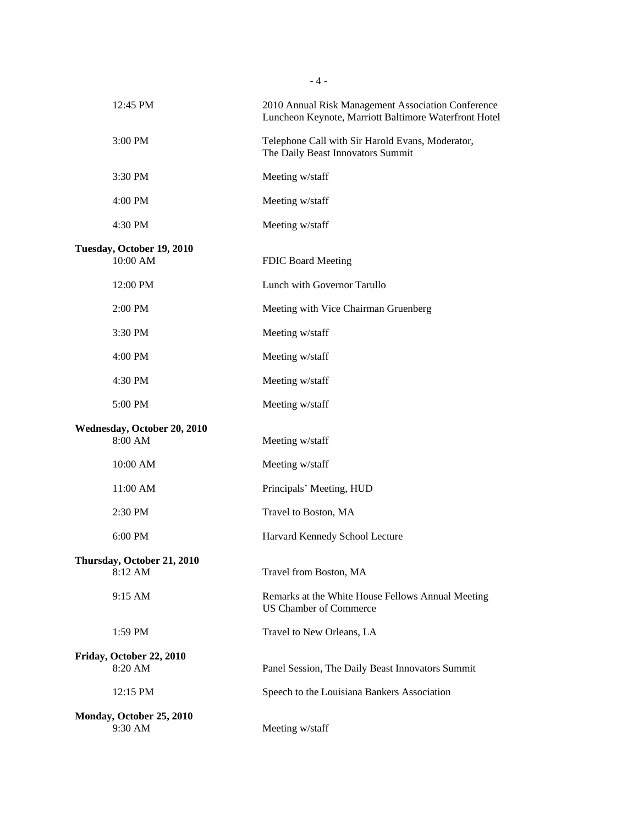| 12:45 PM                               | 2010 Annual Risk Management Association Conference<br>Luncheon Keynote, Marriott Baltimore Waterfront Hotel |  |
|----------------------------------------|-------------------------------------------------------------------------------------------------------------|--|
| 3:00 PM                                | Telephone Call with Sir Harold Evans, Moderator,<br>The Daily Beast Innovators Summit                       |  |
| 3:30 PM                                | Meeting w/staff                                                                                             |  |
| 4:00 PM                                | Meeting w/staff                                                                                             |  |
| 4:30 PM                                | Meeting w/staff                                                                                             |  |
| Tuesday, October 19, 2010<br>10:00 AM  | FDIC Board Meeting                                                                                          |  |
|                                        |                                                                                                             |  |
| 12:00 PM                               | Lunch with Governor Tarullo                                                                                 |  |
| 2:00 PM                                | Meeting with Vice Chairman Gruenberg                                                                        |  |
| 3:30 PM                                | Meeting w/staff                                                                                             |  |
| 4:00 PM                                | Meeting w/staff                                                                                             |  |
| 4:30 PM                                | Meeting w/staff                                                                                             |  |
| 5:00 PM                                | Meeting w/staff                                                                                             |  |
| Wednesday, October 20, 2010<br>8:00 AM | Meeting w/staff                                                                                             |  |
| 10:00 AM                               | Meeting w/staff                                                                                             |  |
| 11:00 AM                               | Principals' Meeting, HUD                                                                                    |  |
| 2:30 PM                                | Travel to Boston, MA                                                                                        |  |
| 6:00 PM                                | Harvard Kennedy School Lecture                                                                              |  |
| Thursday, October 21, 2010             |                                                                                                             |  |
| 8:12 AM                                | Travel from Boston, MA                                                                                      |  |
| 9:15 AM                                | Remarks at the White House Fellows Annual Meeting<br>US Chamber of Commerce                                 |  |
| 1:59 PM                                | Travel to New Orleans, LA                                                                                   |  |
| Friday, October 22, 2010               |                                                                                                             |  |
| 8:20 AM                                | Panel Session, The Daily Beast Innovators Summit                                                            |  |
| 12:15 PM                               | Speech to the Louisiana Bankers Association                                                                 |  |
| Monday, October 25, 2010               |                                                                                                             |  |
| 9:30 AM                                | Meeting w/staff                                                                                             |  |

- 4 -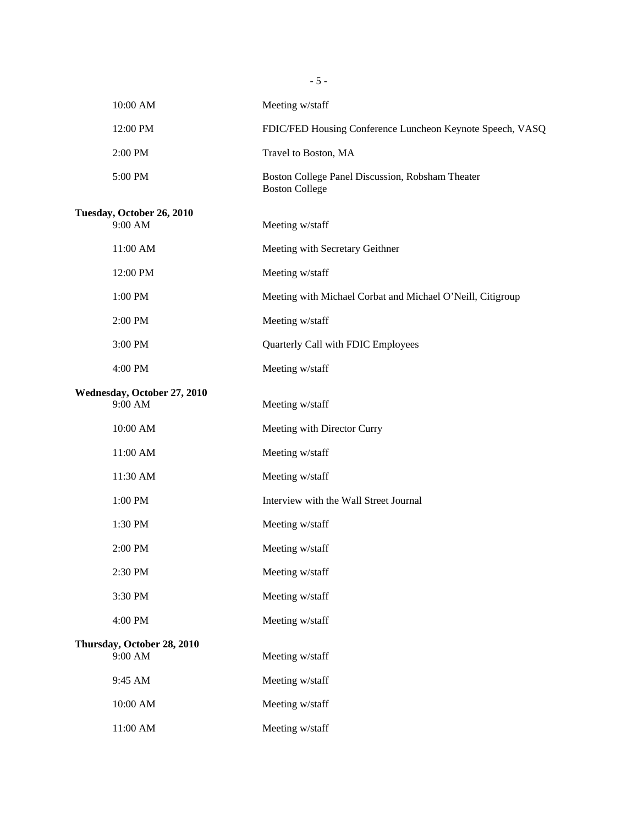|                                        | $-5-$                                                                     |
|----------------------------------------|---------------------------------------------------------------------------|
| 10:00 AM                               | Meeting w/staff                                                           |
| 12:00 PM                               | FDIC/FED Housing Conference Luncheon Keynote Speech, VASQ                 |
| 2:00 PM                                | Travel to Boston, MA                                                      |
| 5:00 PM                                | Boston College Panel Discussion, Robsham Theater<br><b>Boston College</b> |
| Tuesday, October 26, 2010<br>9:00 AM   | Meeting w/staff                                                           |
| 11:00 AM                               | Meeting with Secretary Geithner                                           |
| 12:00 PM                               | Meeting w/staff                                                           |
| 1:00 PM                                | Meeting with Michael Corbat and Michael O'Neill, Citigroup                |
| 2:00 PM                                | Meeting w/staff                                                           |
| 3:00 PM                                | Quarterly Call with FDIC Employees                                        |
| 4:00 PM                                | Meeting w/staff                                                           |
| Wednesday, October 27, 2010<br>9:00 AM | Meeting w/staff                                                           |
| 10:00 AM                               | Meeting with Director Curry                                               |
| 11:00 AM                               | Meeting w/staff                                                           |
| 11:30 AM                               | Meeting w/staff                                                           |
| 1:00 PM                                | Interview with the Wall Street Journal                                    |
| 1:30 PM                                | Meeting w/staff                                                           |
| 2:00 PM                                | Meeting w/staff                                                           |
| 2:30 PM                                | Meeting w/staff                                                           |
| 3:30 PM                                | Meeting w/staff                                                           |
| 4:00 PM                                | Meeting w/staff                                                           |
| Thursday, October 28, 2010<br>9:00 AM  | Meeting w/staff                                                           |
| 9:45 AM                                | Meeting w/staff                                                           |
| 10:00 AM                               | Meeting w/staff                                                           |
| $11:00~\mathrm{AM}$                    | Meeting w/staff                                                           |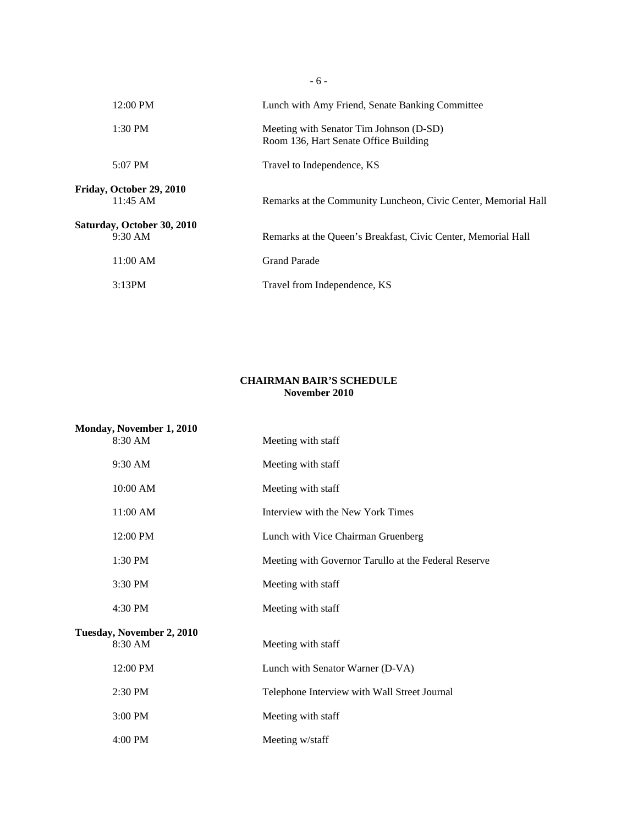| $12:00 \text{ PM}$                     | Lunch with Amy Friend, Senate Banking Committee                                  |
|----------------------------------------|----------------------------------------------------------------------------------|
| $1:30$ PM                              | Meeting with Senator Tim Johnson (D-SD)<br>Room 136, Hart Senate Office Building |
| 5:07 PM                                | Travel to Independence, KS                                                       |
| Friday, October 29, 2010<br>$11:45$ AM | Remarks at the Community Luncheon, Civic Center, Memorial Hall                   |
| Saturday, October 30, 2010<br>9:30 AM  | Remarks at the Queen's Breakfast, Civic Center, Memorial Hall                    |
| 11:00 AM                               | <b>Grand Parade</b>                                                              |
| 3:13PM                                 | Travel from Independence, KS                                                     |
|                                        |                                                                                  |

- 6 -

## **CHAIRMAN BAIR'S SCHEDULE November 2010**

| Monday, November 1, 2010  |                                                      |
|---------------------------|------------------------------------------------------|
| 8:30 AM                   | Meeting with staff                                   |
| 9:30 AM                   | Meeting with staff                                   |
| 10:00 AM                  | Meeting with staff                                   |
| 11:00 AM                  | Interview with the New York Times                    |
| 12:00 PM                  | Lunch with Vice Chairman Gruenberg                   |
| 1:30 PM                   | Meeting with Governor Tarullo at the Federal Reserve |
| 3:30 PM                   | Meeting with staff                                   |
| 4:30 PM                   | Meeting with staff                                   |
| Tuesday, November 2, 2010 |                                                      |
| 8:30 AM                   | Meeting with staff                                   |
| 12:00 PM                  | Lunch with Senator Warner (D-VA)                     |
| 2:30 PM                   | Telephone Interview with Wall Street Journal         |
| 3:00 PM                   | Meeting with staff                                   |
| 4:00 PM                   | Meeting w/staff                                      |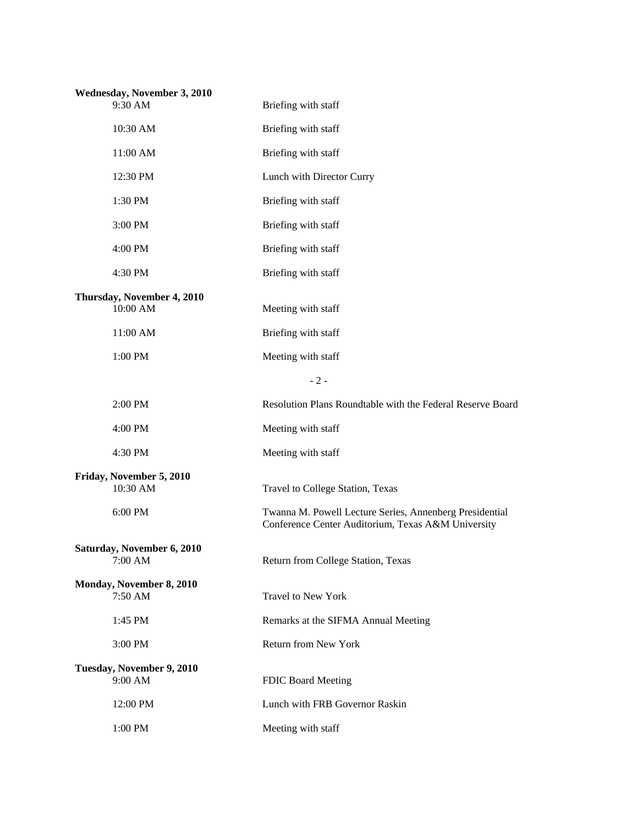| Wednesday, November 3, 2010<br>9:30 AM | Briefing with staff                                                                                           |
|----------------------------------------|---------------------------------------------------------------------------------------------------------------|
| 10:30 AM                               | Briefing with staff                                                                                           |
| 11:00 AM                               | Briefing with staff                                                                                           |
| 12:30 PM                               | Lunch with Director Curry                                                                                     |
| 1:30 PM                                | Briefing with staff                                                                                           |
| 3:00 PM                                | Briefing with staff                                                                                           |
| 4:00 PM                                | Briefing with staff                                                                                           |
| 4:30 PM                                | Briefing with staff                                                                                           |
| Thursday, November 4, 2010<br>10:00 AM | Meeting with staff                                                                                            |
| 11:00 AM                               | Briefing with staff                                                                                           |
| 1:00 PM                                | Meeting with staff                                                                                            |
|                                        | $-2-$                                                                                                         |
| 2:00 PM                                | Resolution Plans Roundtable with the Federal Reserve Board                                                    |
| 4:00 PM                                | Meeting with staff                                                                                            |
| 4:30 PM                                | Meeting with staff                                                                                            |
| Friday, November 5, 2010<br>10:30 AM   | Travel to College Station, Texas                                                                              |
| 6:00 PM                                | Twanna M. Powell Lecture Series, Annenberg Presidential<br>Conference Center Auditorium, Texas A&M University |
| Saturday, November 6, 2010<br>7:00 AM  | Return from College Station, Texas                                                                            |
| Monday, November 8, 2010<br>7:50 AM    | Travel to New York                                                                                            |
| 1:45 PM                                | Remarks at the SIFMA Annual Meeting                                                                           |
| 3:00 PM                                | Return from New York                                                                                          |
| Tuesday, November 9, 2010<br>9:00 AM   | FDIC Board Meeting                                                                                            |
| 12:00 PM                               | Lunch with FRB Governor Raskin                                                                                |
| 1:00 PM                                | Meeting with staff                                                                                            |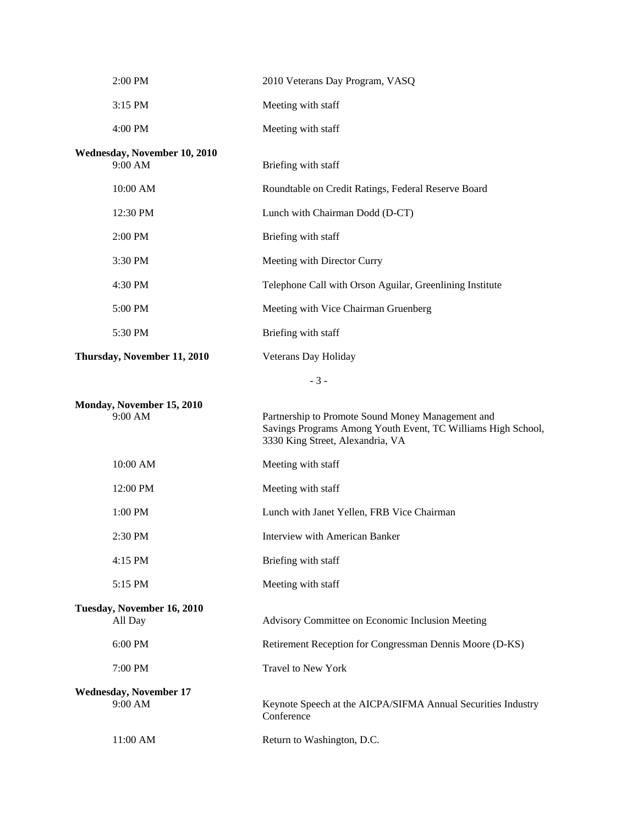| 2:00 PM                                  | 2010 Veterans Day Program, VASQ                                                                                                                       |
|------------------------------------------|-------------------------------------------------------------------------------------------------------------------------------------------------------|
| 3:15 PM                                  | Meeting with staff                                                                                                                                    |
| 4:00 PM                                  | Meeting with staff                                                                                                                                    |
| Wednesday, November 10, 2010<br>9:00 AM  | Briefing with staff                                                                                                                                   |
| 10:00 AM                                 | Roundtable on Credit Ratings, Federal Reserve Board                                                                                                   |
| 12:30 PM                                 | Lunch with Chairman Dodd (D-CT)                                                                                                                       |
| 2:00 PM                                  | Briefing with staff                                                                                                                                   |
| 3:30 PM                                  | Meeting with Director Curry                                                                                                                           |
| 4:30 PM                                  | Telephone Call with Orson Aguilar, Greenlining Institute                                                                                              |
| 5:00 PM                                  | Meeting with Vice Chairman Gruenberg                                                                                                                  |
| 5:30 PM                                  | Briefing with staff                                                                                                                                   |
| Thursday, November 11, 2010              | Veterans Day Holiday                                                                                                                                  |
|                                          | $-3-$                                                                                                                                                 |
| Monday, November 15, 2010<br>9:00 AM     | Partnership to Promote Sound Money Management and<br>Savings Programs Among Youth Event, TC Williams High School,<br>3330 King Street, Alexandria, VA |
| 10:00 AM                                 | Meeting with staff                                                                                                                                    |
| 12:00 PM                                 | Meeting with staff                                                                                                                                    |
| 1:00 PM                                  | Lunch with Janet Yellen, FRB Vice Chairman                                                                                                            |
| 2:30 PM                                  | Interview with American Banker                                                                                                                        |
| 4:15 PM                                  | Briefing with staff                                                                                                                                   |
| 5:15 PM                                  | Meeting with staff                                                                                                                                    |
| Tuesday, November 16, 2010<br>All Day    | Advisory Committee on Economic Inclusion Meeting                                                                                                      |
| 6:00 PM                                  | Retirement Reception for Congressman Dennis Moore (D-KS)                                                                                              |
| 7:00 PM                                  | <b>Travel to New York</b>                                                                                                                             |
| <b>Wednesday, November 17</b><br>9:00 AM | Keynote Speech at the AICPA/SIFMA Annual Securities Industry<br>Conference                                                                            |
| 11:00 AM                                 | Return to Washington, D.C.                                                                                                                            |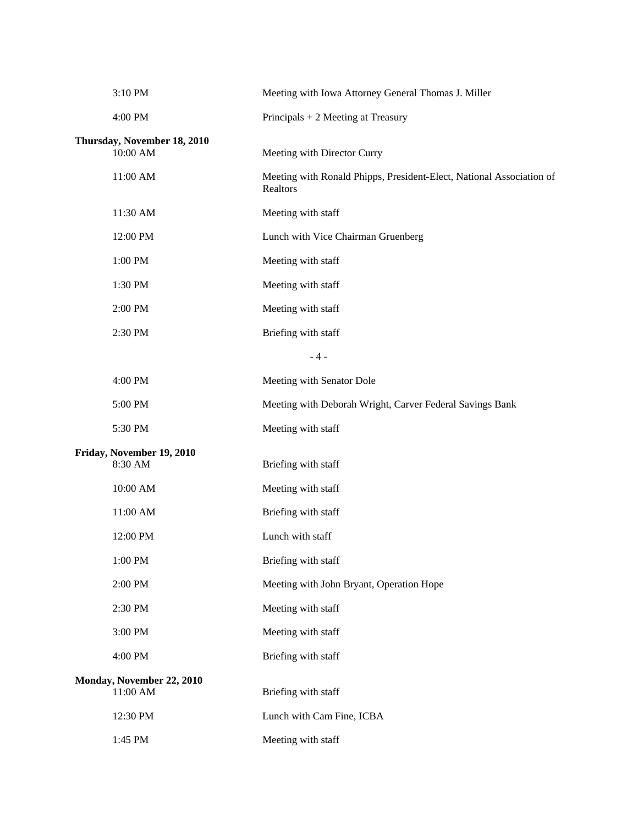| 3:10 PM                                 | Meeting with Iowa Attorney General Thomas J. Miller                              |
|-----------------------------------------|----------------------------------------------------------------------------------|
| 4:00 PM                                 | Principals $+ 2$ Meeting at Treasury                                             |
| Thursday, November 18, 2010<br>10:00 AM | Meeting with Director Curry                                                      |
| 11:00 AM                                | Meeting with Ronald Phipps, President-Elect, National Association of<br>Realtors |
| 11:30 AM                                | Meeting with staff                                                               |
| 12:00 PM                                | Lunch with Vice Chairman Gruenberg                                               |
| 1:00 PM                                 | Meeting with staff                                                               |
| 1:30 PM                                 | Meeting with staff                                                               |
| 2:00 PM                                 | Meeting with staff                                                               |
| 2:30 PM                                 | Briefing with staff                                                              |
|                                         | $-4-$                                                                            |
| 4:00 PM                                 | Meeting with Senator Dole                                                        |
| 5:00 PM                                 | Meeting with Deborah Wright, Carver Federal Savings Bank                         |
| 5:30 PM                                 | Meeting with staff                                                               |
| Friday, November 19, 2010<br>8:30 AM    | Briefing with staff                                                              |
| 10:00 AM                                | Meeting with staff                                                               |
| 11:00 AM                                | Briefing with staff                                                              |
| 12:00 PM                                | Lunch with staff                                                                 |
| 1:00 PM                                 | Briefing with staff                                                              |
| 2:00 PM                                 | Meeting with John Bryant, Operation Hope                                         |
| 2:30 PM                                 | Meeting with staff                                                               |
| 3:00 PM                                 | Meeting with staff                                                               |
| 4:00 PM                                 | Briefing with staff                                                              |
| Monday, November 22, 2010<br>11:00 AM   | Briefing with staff                                                              |
| 12:30 PM                                | Lunch with Cam Fine, ICBA                                                        |
| 1:45 PM                                 | Meeting with staff                                                               |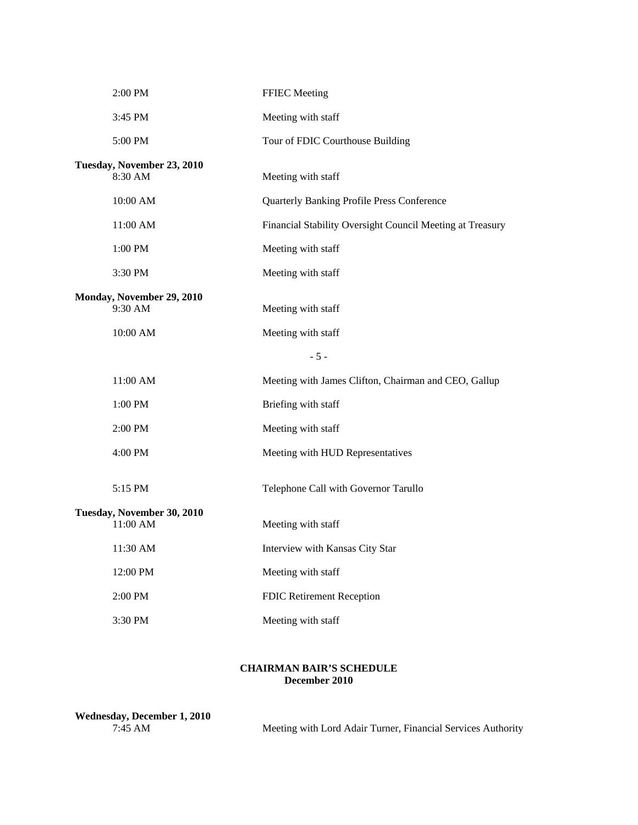| 2:00 PM                                | <b>FFIEC Meeting</b>                                      |
|----------------------------------------|-----------------------------------------------------------|
| 3:45 PM                                | Meeting with staff                                        |
| 5:00 PM                                | Tour of FDIC Courthouse Building                          |
| Tuesday, November 23, 2010             |                                                           |
| 8:30 AM                                | Meeting with staff                                        |
| 10:00 AM                               | <b>Quarterly Banking Profile Press Conference</b>         |
| 11:00 AM                               | Financial Stability Oversight Council Meeting at Treasury |
| 1:00 PM                                | Meeting with staff                                        |
| 3:30 PM                                | Meeting with staff                                        |
| Monday, November 29, 2010              |                                                           |
| 9:30 AM                                | Meeting with staff                                        |
| 10:00 AM                               | Meeting with staff                                        |
|                                        | $-5-$                                                     |
| 11:00 AM                               | Meeting with James Clifton, Chairman and CEO, Gallup      |
| 1:00 PM                                | Briefing with staff                                       |
| 2:00 PM                                | Meeting with staff                                        |
| 4:00 PM                                | Meeting with HUD Representatives                          |
| 5:15 PM                                | Telephone Call with Governor Tarullo                      |
|                                        |                                                           |
| Tuesday, November 30, 2010<br>11:00 AM | Meeting with staff                                        |
| 11:30 AM                               | Interview with Kansas City Star                           |
| 12:00 PM                               | Meeting with staff                                        |
| 2:00 PM                                | FDIC Retirement Reception                                 |
| 3:30 PM                                | Meeting with staff                                        |
|                                        |                                                           |

## **CHAIRMAN BAIR'S SCHEDULE December 2010**

| Wednesday, December 1, 2010 |  |
|-----------------------------|--|
| $7:45$ AM                   |  |

Meeting with Lord Adair Turner, Financial Services Authority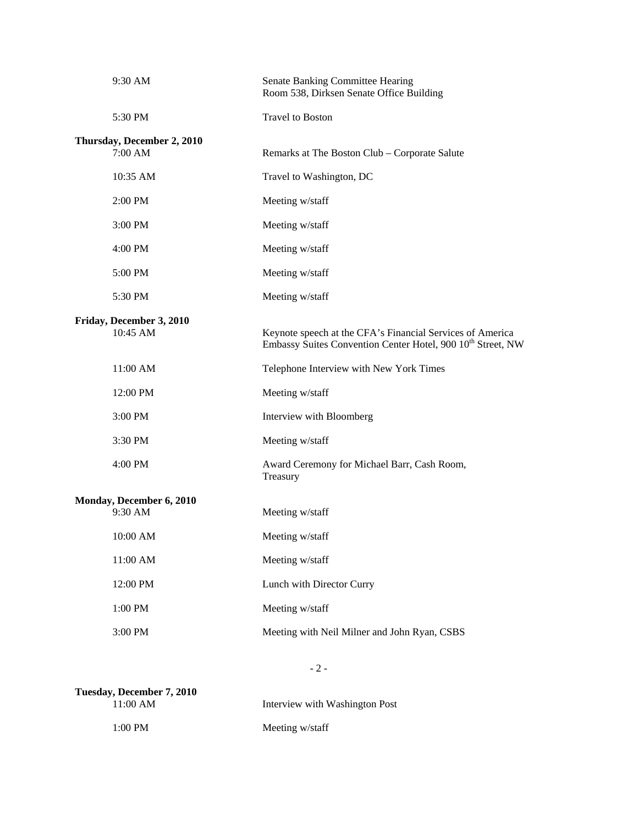| 9:30 AM                    | Senate Banking Committee Hearing<br>Room 538, Dirksen Senate Office Building                                                         |
|----------------------------|--------------------------------------------------------------------------------------------------------------------------------------|
| 5:30 PM                    | <b>Travel to Boston</b>                                                                                                              |
| Thursday, December 2, 2010 |                                                                                                                                      |
| 7:00 AM                    | Remarks at The Boston Club – Corporate Salute                                                                                        |
| 10:35 AM                   | Travel to Washington, DC                                                                                                             |
| 2:00 PM                    | Meeting w/staff                                                                                                                      |
| 3:00 PM                    | Meeting w/staff                                                                                                                      |
| 4:00 PM                    | Meeting w/staff                                                                                                                      |
| 5:00 PM                    | Meeting w/staff                                                                                                                      |
| 5:30 PM                    | Meeting w/staff                                                                                                                      |
| Friday, December 3, 2010   |                                                                                                                                      |
| 10:45 AM                   | Keynote speech at the CFA's Financial Services of America<br>Embassy Suites Convention Center Hotel, 900 10 <sup>th</sup> Street, NW |
| 11:00 AM                   | Telephone Interview with New York Times                                                                                              |
| 12:00 PM                   | Meeting w/staff                                                                                                                      |
| 3:00 PM                    | Interview with Bloomberg                                                                                                             |
| 3:30 PM                    | Meeting w/staff                                                                                                                      |
| 4:00 PM                    | Award Ceremony for Michael Barr, Cash Room,<br>Treasury                                                                              |
| Monday, December 6, 2010   |                                                                                                                                      |
| 9:30 AM                    | Meeting w/staff                                                                                                                      |
| $10:00~\mathrm{AM}$        | Meeting w/staff                                                                                                                      |
| 11:00 AM                   | Meeting w/staff                                                                                                                      |
| 12:00 PM                   | Lunch with Director Curry                                                                                                            |
| 1:00 PM                    | Meeting w/staff                                                                                                                      |
| 3:00 PM                    | Meeting with Neil Milner and John Ryan, CSBS                                                                                         |
|                            |                                                                                                                                      |

- 2 -

| Tuesday, December 7, 2010 |                                |
|---------------------------|--------------------------------|
| 11:00 AM                  | Interview with Washington Post |
| $1:00 \text{ PM}$         | Meeting w/staff                |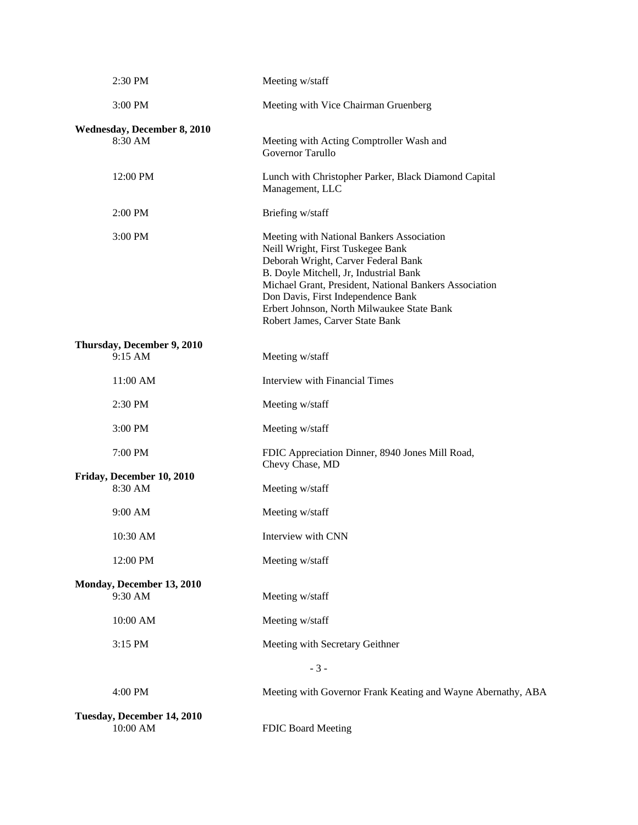| 2:30 PM                                | Meeting w/staff                                                                                                                                                                                                                                                                                                                                  |  |
|----------------------------------------|--------------------------------------------------------------------------------------------------------------------------------------------------------------------------------------------------------------------------------------------------------------------------------------------------------------------------------------------------|--|
| 3:00 PM                                | Meeting with Vice Chairman Gruenberg                                                                                                                                                                                                                                                                                                             |  |
| Wednesday, December 8, 2010<br>8:30 AM | Meeting with Acting Comptroller Wash and<br>Governor Tarullo                                                                                                                                                                                                                                                                                     |  |
| 12:00 PM                               | Lunch with Christopher Parker, Black Diamond Capital<br>Management, LLC                                                                                                                                                                                                                                                                          |  |
| 2:00 PM                                | Briefing w/staff                                                                                                                                                                                                                                                                                                                                 |  |
| 3:00 PM                                | Meeting with National Bankers Association<br>Neill Wright, First Tuskegee Bank<br>Deborah Wright, Carver Federal Bank<br>B. Doyle Mitchell, Jr, Industrial Bank<br>Michael Grant, President, National Bankers Association<br>Don Davis, First Independence Bank<br>Erbert Johnson, North Milwaukee State Bank<br>Robert James, Carver State Bank |  |
| Thursday, December 9, 2010<br>9:15 AM  | Meeting w/staff                                                                                                                                                                                                                                                                                                                                  |  |
| 11:00 AM                               | Interview with Financial Times                                                                                                                                                                                                                                                                                                                   |  |
| 2:30 PM                                | Meeting w/staff                                                                                                                                                                                                                                                                                                                                  |  |
| 3:00 PM                                | Meeting w/staff                                                                                                                                                                                                                                                                                                                                  |  |
| 7:00 PM                                | FDIC Appreciation Dinner, 8940 Jones Mill Road,<br>Chevy Chase, MD                                                                                                                                                                                                                                                                               |  |
| Friday, December 10, 2010<br>8:30 AM   | Meeting w/staff                                                                                                                                                                                                                                                                                                                                  |  |
| 9:00 AM                                | Meeting w/staff                                                                                                                                                                                                                                                                                                                                  |  |
| 10:30 AM                               | Interview with CNN                                                                                                                                                                                                                                                                                                                               |  |
| 12:00 PM                               | Meeting w/staff                                                                                                                                                                                                                                                                                                                                  |  |
| Monday, December 13, 2010<br>9:30 AM   | Meeting w/staff                                                                                                                                                                                                                                                                                                                                  |  |
| 10:00 AM                               | Meeting w/staff                                                                                                                                                                                                                                                                                                                                  |  |
| 3:15 PM                                | Meeting with Secretary Geithner                                                                                                                                                                                                                                                                                                                  |  |
| $-3-$                                  |                                                                                                                                                                                                                                                                                                                                                  |  |
| 4:00 PM                                | Meeting with Governor Frank Keating and Wayne Abernathy, ABA                                                                                                                                                                                                                                                                                     |  |
| Tuesday, December 14, 2010<br>10:00 AM | FDIC Board Meeting                                                                                                                                                                                                                                                                                                                               |  |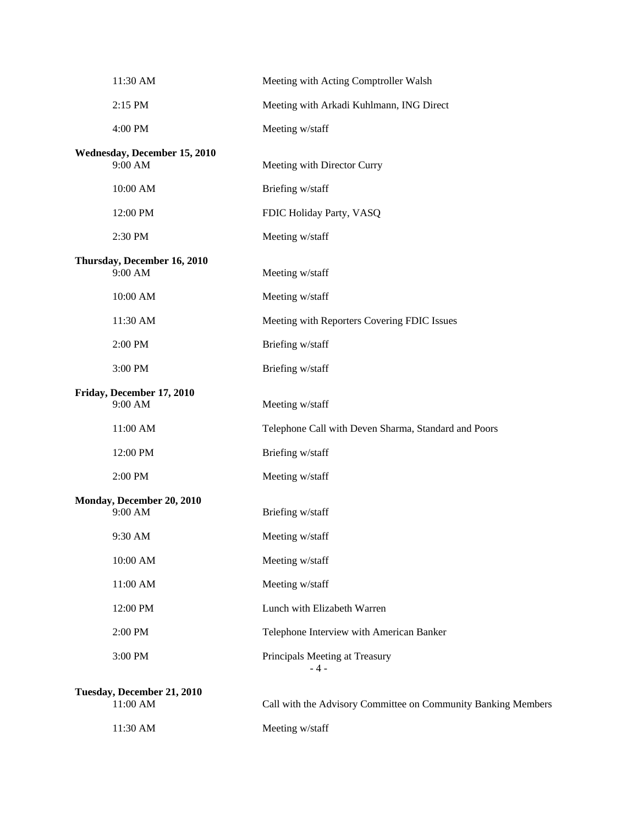| 11:30 AM                                | Meeting with Acting Comptroller Walsh                         |
|-----------------------------------------|---------------------------------------------------------------|
| 2:15 PM                                 | Meeting with Arkadi Kuhlmann, ING Direct                      |
| 4:00 PM                                 | Meeting w/staff                                               |
| Wednesday, December 15, 2010<br>9:00 AM | Meeting with Director Curry                                   |
| 10:00 AM                                | Briefing w/staff                                              |
| 12:00 PM                                | FDIC Holiday Party, VASQ                                      |
| 2:30 PM                                 | Meeting w/staff                                               |
| Thursday, December 16, 2010<br>9:00 AM  | Meeting w/staff                                               |
| 10:00 AM                                | Meeting w/staff                                               |
| 11:30 AM                                | Meeting with Reporters Covering FDIC Issues                   |
| 2:00 PM                                 | Briefing w/staff                                              |
| 3:00 PM                                 | Briefing w/staff                                              |
| Friday, December 17, 2010<br>9:00 AM    | Meeting w/staff                                               |
| 11:00 AM                                | Telephone Call with Deven Sharma, Standard and Poors          |
| 12:00 PM                                | Briefing w/staff                                              |
| 2:00 PM                                 | Meeting w/staff                                               |
| Monday, December 20, 2010<br>9:00 AM    | Briefing w/staff                                              |
| 9:30 AM                                 | Meeting w/staff                                               |
| 10:00 AM                                | Meeting w/staff                                               |
| $11:00~\mathrm{AM}$                     | Meeting w/staff                                               |
| 12:00 PM                                | Lunch with Elizabeth Warren                                   |
| 2:00 PM                                 | Telephone Interview with American Banker                      |
| 3:00 PM                                 | Principals Meeting at Treasury<br>- 4 -                       |
| Tuesday, December 21, 2010<br>11:00 AM  | Call with the Advisory Committee on Community Banking Members |
| 11:30 AM                                | Meeting w/staff                                               |